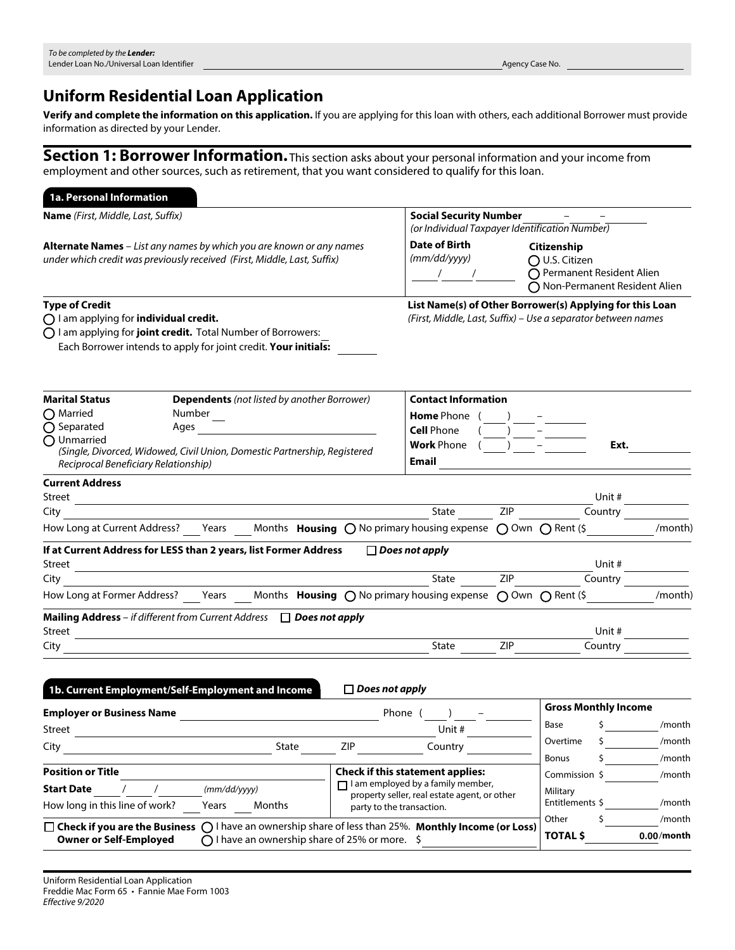## **Uniform Residential Loan Application**

**Verify and complete the information on this application.** If you are applying for this loan with others, each additional Borrower must provide information as directed by your Lender.

**Section 1: Borrower Information.** This section asks about your personal information and your income from employment and other sources, such as retirement, that you want considered to qualify for this loan.

| 1a. Personal Information                                                                                                   |                                                                                                                                                                                                                                                                           |                       |                                                                                                                                                        |              |                             |                         |  |  |
|----------------------------------------------------------------------------------------------------------------------------|---------------------------------------------------------------------------------------------------------------------------------------------------------------------------------------------------------------------------------------------------------------------------|-----------------------|--------------------------------------------------------------------------------------------------------------------------------------------------------|--------------|-----------------------------|-------------------------|--|--|
| Name (First, Middle, Last, Suffix)                                                                                         |                                                                                                                                                                                                                                                                           |                       | <b>Social Security Number</b><br>(or Individual Taxpayer Identification Number)                                                                        |              |                             |                         |  |  |
|                                                                                                                            | Alternate Names - List any names by which you are known or any names<br>under which credit was previously received (First, Middle, Last, Suffix)                                                                                                                          |                       | <b>Date of Birth</b><br>Citizenship<br>(mm/dd/yyyy)<br>◯ U.S. Citizen<br>O Permanent Resident Alien<br>$\frac{1}{2}$<br>◯ Non-Permanent Resident Alien |              |                             |                         |  |  |
| <b>Type of Credit</b><br>$\bigcap$ I am applying for <b>individual credit.</b>                                             | ( I am applying for joint credit. Total Number of Borrowers:<br>Each Borrower intends to apply for joint credit. Your initials:                                                                                                                                           |                       | List Name(s) of Other Borrower(s) Applying for this Loan<br>(First, Middle, Last, Suffix) - Use a separator between names                              |              |                             |                         |  |  |
| <b>Marital Status</b><br>◯ Married<br>$\bigcirc$ Separated<br>$\bigcirc$ Unmarried<br>Reciprocal Beneficiary Relationship) | <b>Dependents</b> (not listed by another Borrower)<br>Number<br>Ages<br><u> 1980 - Jan Barbara Barbara, prima popular popular popular popular popular popular popular popular popular po</u><br>(Single, Divorced, Widowed, Civil Union, Domestic Partnership, Registered |                       | <b>Contact Information</b><br><b>Home</b> Phone (<br><b>Cell</b> Phone $\frac{(-1)^{n-1}}{n-1}$<br>Email                                               |              | Ext.                        |                         |  |  |
| <b>Current Address</b>                                                                                                     | Street <u>the community of the community of the community of the community of the community of the community of the community of the community of the community of the community of the community of the community of the commun</u>                                      |                       |                                                                                                                                                        |              | Unit #                      |                         |  |  |
| City                                                                                                                       |                                                                                                                                                                                                                                                                           |                       | State ZIP                                                                                                                                              |              | Country                     |                         |  |  |
|                                                                                                                            | How Long at Current Address? Years Months Housing $\overline{O}$ No primary housing expense $\overline{O}$ Own $\overline{O}$ Rent (\$                                                                                                                                    |                       |                                                                                                                                                        |              |                             | $/$ month)              |  |  |
|                                                                                                                            | If at Current Address for LESS than 2 years, list Former Address<br>Does not apply                                                                                                                                                                                        |                       |                                                                                                                                                        |              |                             |                         |  |  |
| Street                                                                                                                     |                                                                                                                                                                                                                                                                           |                       |                                                                                                                                                        |              | Unit # $\qquad \qquad$      |                         |  |  |
|                                                                                                                            | How Long at Former Address? Years Months Housing O No primary housing expense O Own O Rent (\$                                                                                                                                                                            |                       | State                                                                                                                                                  | ZIP          | Country                     | /month)                 |  |  |
|                                                                                                                            |                                                                                                                                                                                                                                                                           |                       |                                                                                                                                                        |              |                             |                         |  |  |
| Street                                                                                                                     | Mailing Address - if different from Current Address $\Box$ Does not apply                                                                                                                                                                                                 |                       |                                                                                                                                                        |              |                             | Unit # $\qquad \qquad$  |  |  |
| City                                                                                                                       | <u> 1989 - Johann Barbara, martxa alemaniar arg</u><br><u> 1989 - Johann Stoff, amerikansk politiker (d. 1989)</u>                                                                                                                                                        |                       | State <u>ZIP</u>                                                                                                                                       |              |                             | Country ___________     |  |  |
|                                                                                                                            | 1b. Current Employment/Self-Employment and Income                                                                                                                                                                                                                         | $\Box$ Does not apply |                                                                                                                                                        |              |                             |                         |  |  |
|                                                                                                                            | <b>Employer or Business Name</b>                                                                                                                                                                                                                                          |                       | Phone $( )$ –                                                                                                                                          | Base         | <b>Gross Monthly Income</b> |                         |  |  |
| <b>Street</b>                                                                                                              |                                                                                                                                                                                                                                                                           |                       | Unit #                                                                                                                                                 |              | \$<br>Overtime              | /month<br>/month        |  |  |
| City                                                                                                                       | <b>State</b>                                                                                                                                                                                                                                                              | ZIP                   | Country                                                                                                                                                | <b>Bonus</b> |                             | /month                  |  |  |
| <b>Position or Title</b>                                                                                                   |                                                                                                                                                                                                                                                                           |                       | <b>Check if this statement applies:</b>                                                                                                                |              | Commission \$               | /month                  |  |  |
| <b>Start Date</b>                                                                                                          | (mm/dd/yyyy)                                                                                                                                                                                                                                                              |                       | $\Box$ I am employed by a family member,<br>property seller, real estate agent, or other                                                               |              | Military                    |                         |  |  |
| How long in this line of work?                                                                                             | Months<br>Years                                                                                                                                                                                                                                                           |                       | party to the transaction.                                                                                                                              |              | Entitlements \$             | /month                  |  |  |
| <b>Owner or Self-Employed</b>                                                                                              | $\Box$ Check if you are the Business $\bigcirc$ I have an ownership share of less than 25%. Monthly Income (or Loss)<br>$\bigcap$ I have an ownership share of 25% or more. \$                                                                                            |                       |                                                                                                                                                        | Other        | <b>TOTAL</b> \$             | /month<br>$0.00/m$ onth |  |  |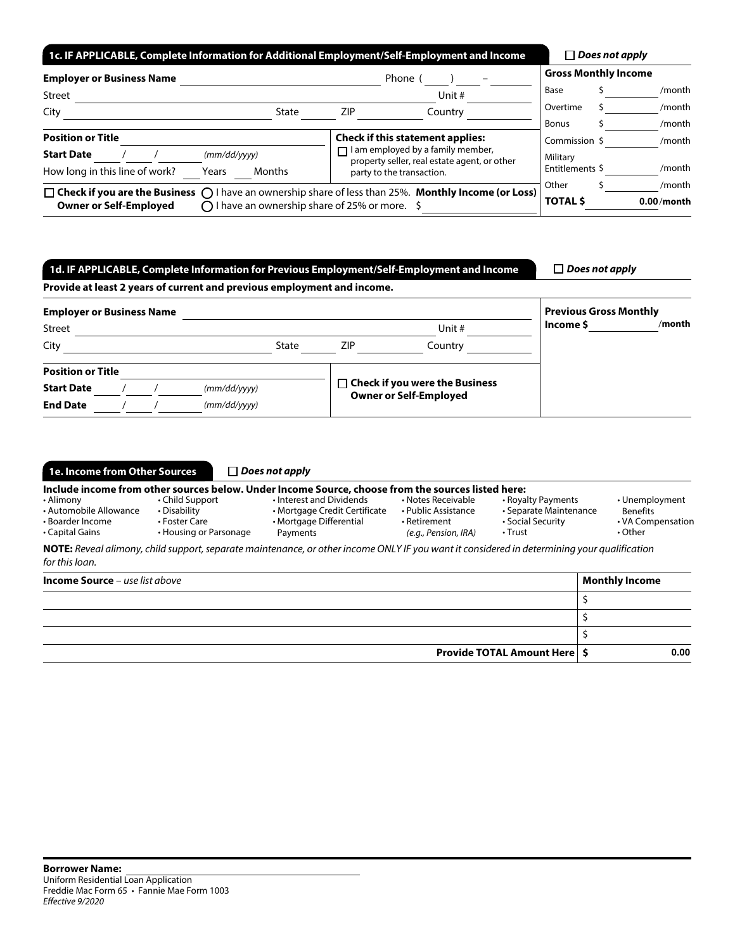| 1c. IF APPLICABLE, Complete Information for Additional Employment/Self-Employment and Income                                                                                                                | $\Box$ Does not apply                                                                    |                                  |
|-------------------------------------------------------------------------------------------------------------------------------------------------------------------------------------------------------------|------------------------------------------------------------------------------------------|----------------------------------|
| <b>Employer or Business Name</b>                                                                                                                                                                            | Phone                                                                                    | <b>Gross Monthly Income</b>      |
| Street                                                                                                                                                                                                      | Unit #                                                                                   | /month<br>Base                   |
| City<br>State                                                                                                                                                                                               | <b>ZIP</b><br>Country                                                                    | /month<br>Overtime               |
|                                                                                                                                                                                                             |                                                                                          | /month<br><b>Bonus</b>           |
| <b>Position or Title</b>                                                                                                                                                                                    | <b>Check if this statement applies:</b>                                                  | Commission \$<br>/month          |
| (mm/dd/yyyy)<br><b>Start Date</b>                                                                                                                                                                           | $\Box$ I am employed by a family member,<br>property seller, real estate agent, or other | Military                         |
| How long in this line of work?<br>Months<br>Years                                                                                                                                                           | party to the transaction.                                                                | /month<br>Entitlements \$        |
|                                                                                                                                                                                                             |                                                                                          | Other<br>/month                  |
| <b>Check if you are the Business</b> $\bigcap$ I have an ownership share of less than 25%. Monthly Income (or Loss)<br>$\bigcap$ I have an ownership share of 25% or more.<br><b>Owner or Self-Employed</b> |                                                                                          | <b>TOTAL \$</b><br>$0.00/m$ onth |

| 1d. IF APPLICABLE, Complete Information for Previous Employment/Self-Employment and Income | $\Box$ Does not apply |                               |         |           |
|--------------------------------------------------------------------------------------------|-----------------------|-------------------------------|---------|-----------|
| Provide at least 2 years of current and previous employment and income.                    |                       |                               |         |           |
| <b>Employer or Business Name</b>                                                           |                       | <b>Previous Gross Monthly</b> |         |           |
| Street                                                                                     |                       |                               | Unit #  | Income \$ |
| City                                                                                       | State                 | 7IP                           | Country |           |

| <b>Position or Title</b> |  |              |                                                                        |
|--------------------------|--|--------------|------------------------------------------------------------------------|
| <b>Start Date</b>        |  | (mm/dd/yyyy) | $\Box$ Check if you were the Business<br><b>Owner or Self-Employed</b> |
| <b>End Date</b>          |  | (mm/dd/yyyy) |                                                                        |

**Income \$** /**month**

| 1e. Income from Other Sources                                              |                                                                            | $\Box$ Does not apply<br>Include income from other sources below. Under Income Source, choose from the sources listed here:                        |                                                                                           |                                                                              |                       |                                                                         |
|----------------------------------------------------------------------------|----------------------------------------------------------------------------|----------------------------------------------------------------------------------------------------------------------------------------------------|-------------------------------------------------------------------------------------------|------------------------------------------------------------------------------|-----------------------|-------------------------------------------------------------------------|
| • Alimony<br>• Automobile Allowance<br>• Boarder Income<br>• Capital Gains | • Child Support<br>• Disability<br>• Foster Care<br>• Housing or Parsonage | . Interest and Dividends<br>• Mortgage Credit Certificate<br>• Mortgage Differential<br>Payments                                                   | • Notes Receivable<br>• Public Assistance<br>$\bullet$ Retirement<br>(e.g., Pension, IRA) | • Royalty Payments<br>• Separate Maintenance<br>• Social Security<br>• Trust |                       | • Unemployment<br><b>Benefits</b><br>• VA Compensation<br>$\cdot$ Other |
| for this loan.                                                             |                                                                            | <b>NOTE:</b> Reveal alimony, child support, separate maintenance, or other income ONLY IF you want it considered in determining your qualification |                                                                                           |                                                                              |                       |                                                                         |
| <b>Income Source</b> – use list above                                      |                                                                            |                                                                                                                                                    |                                                                                           |                                                                              | <b>Monthly Income</b> |                                                                         |
|                                                                            |                                                                            |                                                                                                                                                    |                                                                                           |                                                                              |                       |                                                                         |
|                                                                            |                                                                            |                                                                                                                                                    |                                                                                           |                                                                              | Ś                     |                                                                         |
|                                                                            |                                                                            |                                                                                                                                                    |                                                                                           |                                                                              | Ś                     |                                                                         |
|                                                                            |                                                                            |                                                                                                                                                    |                                                                                           | <b>Provide TOTAL Amount Here S</b>                                           |                       | 0.00                                                                    |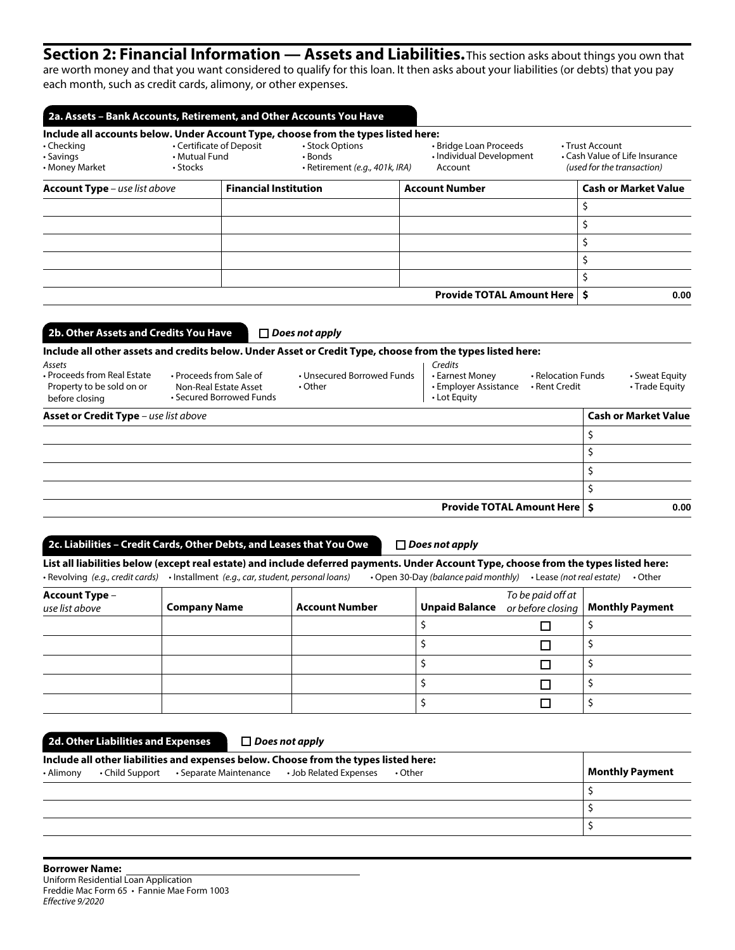# **Section 2: Financial Information — Assets and Liabilities.** This section asks about things you own that

are worth money and that you want considered to qualify for this loan. It then asks about your liabilities (or debts) that you pay each month, such as credit cards, alimony, or other expenses.

|                                                                                             |                                                       | 2a. Assets - Bank Accounts, Retirement, and Other Accounts You Have                                                                                |                                                                |                                        |                 |                                                                 |
|---------------------------------------------------------------------------------------------|-------------------------------------------------------|----------------------------------------------------------------------------------------------------------------------------------------------------|----------------------------------------------------------------|----------------------------------------|-----------------|-----------------------------------------------------------------|
| $\cdot$ Checking<br>• Savings<br>• Money Market                                             | • Certificate of Deposit<br>• Mutual Fund<br>• Stocks | Include all accounts below. Under Account Type, choose from the types listed here:<br>• Stock Options<br>• Bonds<br>· Retirement (e.g., 401k, IRA) | • Bridge Loan Proceeds<br>· Individual Development<br>Account  |                                        | • Trust Account | • Cash Value of Life Insurance<br>(used for the transaction)    |
| <b>Account Type</b> - use list above                                                        |                                                       | <b>Financial Institution</b>                                                                                                                       | <b>Account Number</b>                                          |                                        |                 | <b>Cash or Market Value</b>                                     |
|                                                                                             |                                                       |                                                                                                                                                    |                                                                |                                        | \$              |                                                                 |
|                                                                                             |                                                       |                                                                                                                                                    |                                                                |                                        | \$              |                                                                 |
|                                                                                             |                                                       |                                                                                                                                                    |                                                                |                                        | \$              |                                                                 |
|                                                                                             |                                                       |                                                                                                                                                    |                                                                |                                        | \$              |                                                                 |
|                                                                                             |                                                       |                                                                                                                                                    |                                                                |                                        | \$              |                                                                 |
|                                                                                             |                                                       |                                                                                                                                                    |                                                                | <b>Provide TOTAL Amount Here</b>       | \$              | 0.00                                                            |
| Property to be sold on or<br>before closing<br><b>Asset or Credit Type</b> - use list above | Non-Real Estate Asset<br>• Secured Borrowed Funds     | $\cdot$ Other                                                                                                                                      | • Earnest Money<br>• Employer Assistance<br>• Lot Equity       | • Rent Credit                          |                 | • Sweat Equity<br>• Trade Equity<br><b>Cash or Market Value</b> |
|                                                                                             |                                                       |                                                                                                                                                    |                                                                |                                        | \$              |                                                                 |
|                                                                                             |                                                       |                                                                                                                                                    |                                                                |                                        | \$              |                                                                 |
|                                                                                             |                                                       |                                                                                                                                                    |                                                                |                                        | \$              |                                                                 |
|                                                                                             |                                                       |                                                                                                                                                    |                                                                |                                        | \$              |                                                                 |
|                                                                                             |                                                       |                                                                                                                                                    |                                                                | <b>Provide TOTAL Amount Here   S</b>   |                 |                                                                 |
|                                                                                             |                                                       |                                                                                                                                                    |                                                                |                                        |                 | 0.00                                                            |
|                                                                                             |                                                       | 2c. Liabilities - Credit Cards, Other Debts, and Leases that You Owe                                                                               | $\Box$ Does not apply                                          |                                        |                 |                                                                 |
| • Revolving (e.g., credit cards) • Installment (e.g., car, student, personal loans)         |                                                       | List all liabilities below (except real estate) and include deferred payments. Under Account Type, choose from the types listed here:              | • Open 30-Day (balance paid monthly) • Lease (not real estate) |                                        |                 | $\cdot$ Other                                                   |
| Account Type -<br>use list above                                                            | <b>Company Name</b>                                   | <b>Account Number</b>                                                                                                                              | <b>Unpaid Balance</b>                                          | To be paid off at<br>or before closing |                 | <b>Monthly Payment</b>                                          |
|                                                                                             |                                                       |                                                                                                                                                    | \$                                                             | □                                      | \$              |                                                                 |
|                                                                                             |                                                       |                                                                                                                                                    | \$                                                             | П                                      | Ś               |                                                                 |

**2d. Other Liabilities and Expenses** *Does not apply*

|           | Include all other liabilities and expenses below. Choose from the types listed here: |                                                               |  |                 |  |                        |  |  |
|-----------|--------------------------------------------------------------------------------------|---------------------------------------------------------------|--|-----------------|--|------------------------|--|--|
| • Alimony |                                                                                      | • Child Support • Separate Maintenance • Job Related Expenses |  | $\bullet$ Other |  | <b>Monthly Payment</b> |  |  |
|           |                                                                                      |                                                               |  |                 |  |                        |  |  |
|           |                                                                                      |                                                               |  |                 |  |                        |  |  |
|           |                                                                                      |                                                               |  |                 |  |                        |  |  |
|           |                                                                                      |                                                               |  |                 |  |                        |  |  |

 $\begin{array}{ccc} \text{5} & \text{ } & \text{ } & \text{ } & \text{ } \end{array}$  $\begin{array}{ccc} \text{5} & \hspace{1.5cm} & \text{ } & \hspace{1.5cm} \text{ } & \hspace{1.5cm} \text{ } & \hspace{1.5cm} \text{ } & \hspace{1.5cm} \text{ } & \hspace{1.5cm} \text{ } & \hspace{1.5cm} \text{ } & \hspace{1.5cm} \text{ } & \hspace{1.5cm} \text{ } & \hspace{1.5cm} \text{ } & \hspace{1.5cm} \text{ } & \hspace{1.5cm} \text{ } & \hspace{1.5cm} \text{ } & \hspace{1.5cm} \text{ } & \hspace{1.5cm} \$  $\begin{array}{ccc} \text{5} & \text{ } & \text{ } & \text{ } & \text{ } \end{array}$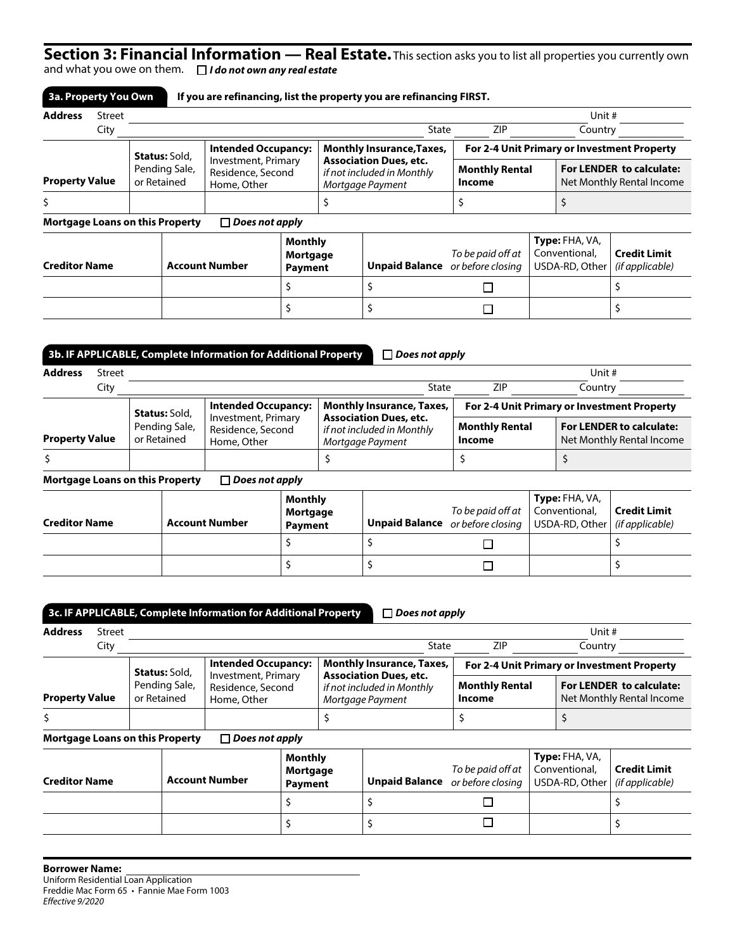## **Section 3: Financial Information — Real Estate.** This section asks you to list all properties you currently own

and what you owe on them. *I do not own any real estate*

**If you are refinancing, list the property you are refinancing FIRST. 3a. Property You Own** 

| <b>Address</b>        | Street |                                        |                                                         |                                       |                                                                                 |                                  |                                        |  | Unit #                                                       |                                             |
|-----------------------|--------|----------------------------------------|---------------------------------------------------------|---------------------------------------|---------------------------------------------------------------------------------|----------------------------------|----------------------------------------|--|--------------------------------------------------------------|---------------------------------------------|
|                       | City   |                                        |                                                         |                                       |                                                                                 | <b>State</b>                     | ZIP                                    |  | Country                                                      |                                             |
|                       |        | Status: Sold.                          | <b>Intended Occupancy:</b>                              |                                       |                                                                                 | <b>Monthly Insurance, Taxes,</b> |                                        |  |                                                              | For 2-4 Unit Primary or Investment Property |
| <b>Property Value</b> |        | Pending Sale,<br>or Retained           | Investment, Primary<br>Residence, Second<br>Home, Other |                                       | <b>Association Dues, etc.</b><br>if not included in Monthly<br>Mortgage Payment |                                  | <b>Monthly Rental</b><br>Income        |  | <b>For LENDER to calculate:</b><br>Net Monthly Rental Income |                                             |
| \$                    |        |                                        |                                                         |                                       |                                                                                 |                                  |                                        |  |                                                              |                                             |
|                       |        | <b>Mortgage Loans on this Property</b> | $\Box$ Does not apply                                   |                                       |                                                                                 |                                  |                                        |  |                                                              |                                             |
| <b>Creditor Name</b>  |        |                                        | <b>Account Number</b>                                   | <b>Monthly</b><br>Mortgage<br>Payment |                                                                                 | <b>Unpaid Balance</b>            | To be paid off at<br>or before closina |  | Type: FHA, VA,<br>Conventional.<br>USDA-RD, Other            | <b>Credit Limit</b><br>(if applicable)      |
|                       |        |                                        |                                                         |                                       |                                                                                 |                                  |                                        |  |                                                              |                                             |
|                       |        |                                        |                                                         |                                       |                                                                                 |                                  |                                        |  |                                                              |                                             |

#### **3b. IF APPLICABLE, Complete Information for Additional Property**

**Address** Street Unit # City **State 2**IP Country **Property Value Status:** Sold, Pending Sale, or Retained **Intended Occupancy:**  Investment, Primary Residence, Second Home, Other **Monthly Insurance, Taxes, Association Dues, etc.**  *if not included in Monthly Mortgage Payment*  **For 2-4 Unit Primary or Investment Property Monthly Rental Income For LENDER to calculate:**  Net Monthly Rental Income \$ \$ \$

*Does not apply*

**Mortgage Loans on this Property** *Does not apply*

| <b>Creditor Name</b> | <b>Account Number</b> | Monthly<br>Mortgage<br><b>Payment</b> | <b>Unpaid Balance</b> or before closing $\vert$ USDA-RD, Other $\vert$ (if applicable) | <b>Type:</b> FHA, VA,<br>To be paid off at $\vert$ Conventional, $\vert$ <b>Credit Limit</b> |  |
|----------------------|-----------------------|---------------------------------------|----------------------------------------------------------------------------------------|----------------------------------------------------------------------------------------------|--|
|                      |                       |                                       |                                                                                        |                                                                                              |  |
|                      |                       |                                       |                                                                                        |                                                                                              |  |

|                                        |        |                                                      |  | 3c. IF APPLICABLE, Complete Information for Additional Property |                            |                       | Does not apply                                                                  |                                 |                                                   |                                                              |                                             |
|----------------------------------------|--------|------------------------------------------------------|--|-----------------------------------------------------------------|----------------------------|-----------------------|---------------------------------------------------------------------------------|---------------------------------|---------------------------------------------------|--------------------------------------------------------------|---------------------------------------------|
| <b>Address</b>                         | Street |                                                      |  |                                                                 |                            |                       |                                                                                 |                                 |                                                   | Unit #                                                       |                                             |
|                                        | City   |                                                      |  |                                                                 |                            |                       | State                                                                           | <b>ZIP</b>                      |                                                   | Country                                                      |                                             |
| <b>Property Value</b>                  |        | <b>Status: Sold.</b><br>Pending Sale,<br>or Retained |  |                                                                 | <b>Intended Occupancy:</b> |                       | <b>Monthly Insurance, Taxes,</b>                                                |                                 |                                                   |                                                              | For 2-4 Unit Primary or Investment Property |
|                                        |        |                                                      |  | Investment, Primary<br>Residence, Second<br>Home, Other         |                            |                       | <b>Association Dues, etc.</b><br>if not included in Monthly<br>Mortgage Payment | <b>Monthly Rental</b><br>Income |                                                   | <b>For LENDER to calculate:</b><br>Net Monthly Rental Income |                                             |
| \$                                     |        |                                                      |  |                                                                 |                            |                       |                                                                                 | \$                              |                                                   | \$                                                           |                                             |
| <b>Mortgage Loans on this Property</b> |        |                                                      |  | $\Box$ Does not apply                                           |                            |                       |                                                                                 |                                 |                                                   |                                                              |                                             |
| <b>Creditor Name</b>                   |        | <b>Account Number</b>                                |  | <b>Monthly</b><br>Mortgage<br><b>Payment</b>                    |                            | <b>Unpaid Balance</b> | To be paid off at<br>or before closing                                          |                                 | Type: FHA, VA,<br>Conventional,<br>USDA-RD, Other | <b>Credit Limit</b><br>(if applicable)                       |                                             |
|                                        |        |                                                      |  |                                                                 |                            |                       | \$                                                                              |                                 |                                                   |                                                              |                                             |
|                                        |        |                                                      |  |                                                                 | \$                         |                       | \$                                                                              | □                               |                                                   |                                                              | \$                                          |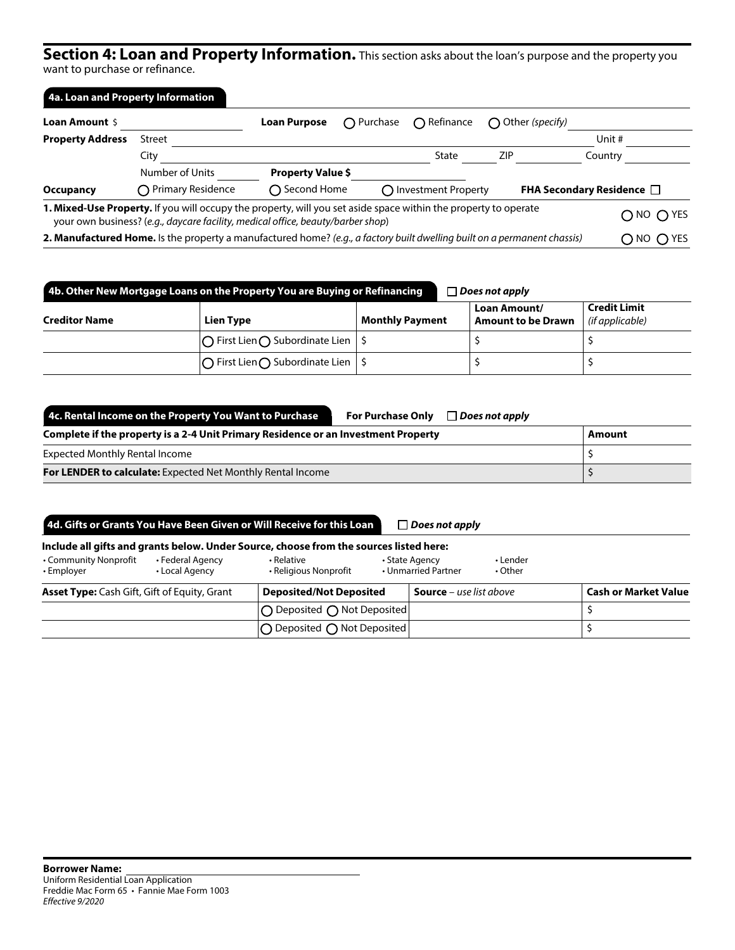### **Section 4: Loan and Property Information.** This section asks about the loan's purpose and the property you want to purchase or refinance.

|                         | 4a. Loan and Property Information                                                                                                                                                                         |                          |                    |                               |            |                                                  |         |                            |
|-------------------------|-----------------------------------------------------------------------------------------------------------------------------------------------------------------------------------------------------------|--------------------------|--------------------|-------------------------------|------------|--------------------------------------------------|---------|----------------------------|
| Loan Amount \$          |                                                                                                                                                                                                           | <b>Loan Purpose</b>      | $\bigcap$ Purchase | $\bigcap$ Refinance           |            | $\bigcap$ Other (specify)                        |         |                            |
| <b>Property Address</b> | Street                                                                                                                                                                                                    |                          |                    |                               |            |                                                  | Unit #  |                            |
|                         | City                                                                                                                                                                                                      |                          |                    | State                         | <b>ZIP</b> |                                                  | Country |                            |
|                         | Number of Units                                                                                                                                                                                           | <b>Property Value \$</b> |                    |                               |            |                                                  |         |                            |
| <b>Occupancy</b>        | $\bigcap$ Primary Residence                                                                                                                                                                               | $\bigcap$ Second Home    |                    | $\bigcap$ Investment Property |            | <b>FHA Secondary Residence <math>\Box</math></b> |         |                            |
|                         | <b>1. Mixed-Use Property.</b> If you will occupy the property, will you set aside space within the property to operate<br>your own business? (e.g., daycare facility, medical office, beauty/barber shop) |                          |                    |                               |            |                                                  |         | $\bigcap$ NO $\bigcap$ YES |
|                         | 2. Manufactured Home. Is the property a manufactured home? (e.g., a factory built dwelling built on a permanent chassis)                                                                                  |                          |                    |                               |            |                                                  |         | ∩ № С<br>YES               |

| 4b. Other New Mortgage Loans on the Property You are Buying or Refinancing<br>$\Box$ Does not apply |                                                   |                        |                                           |                                        |  |  |  |  |  |
|-----------------------------------------------------------------------------------------------------|---------------------------------------------------|------------------------|-------------------------------------------|----------------------------------------|--|--|--|--|--|
| <b>Creditor Name</b>                                                                                | Lien Type                                         | <b>Monthly Payment</b> | Loan Amount/<br><b>Amount to be Drawn</b> | <b>Credit Limit</b><br>(if applicable) |  |  |  |  |  |
|                                                                                                     | $\bigcap$ First Lien $\bigcap$ Subordinate Lien   |                        |                                           |                                        |  |  |  |  |  |
|                                                                                                     | $\bigcirc$ First Lien $\bigcirc$ Subordinate Lien |                        |                                           |                                        |  |  |  |  |  |

| 4c. Rental Income on the Property You Want to Purchase                             | For Purchase Only $\Box$ Does not apply |  |        |
|------------------------------------------------------------------------------------|-----------------------------------------|--|--------|
| Complete if the property is a 2-4 Unit Primary Residence or an Investment Property |                                         |  | Amount |
| <b>Expected Monthly Rental Income</b>                                              |                                         |  |        |
| <b>For LENDER to calculate:</b> Expected Net Monthly Rental Income                 |                                         |  |        |

| 4d. Gifts or Grants You Have Been Given or Will Receive for this Loan |  |
|-----------------------------------------------------------------------|--|
|                                                                       |  |
|                                                                       |  |

*Does not apply*

|                                                     |                                    | Include all gifts and grants below. Under Source, choose from the sources listed here: |                                       |                                 |                             |
|-----------------------------------------------------|------------------------------------|----------------------------------------------------------------------------------------|---------------------------------------|---------------------------------|-----------------------------|
| • Community Nonprofit<br>• Employer                 | • Federal Agency<br>• Local Agency | • Relative<br>• Religious Nonprofit                                                    | • State Agency<br>• Unmarried Partner | $\cdot$ Lender<br>$\cdot$ Other |                             |
| <b>Asset Type:</b> Cash Gift, Gift of Equity, Grant |                                    | <b>Deposited/Not Deposited</b>                                                         | <b>Source</b> – use list above        |                                 | <b>Cash or Market Value</b> |
|                                                     |                                    | $\bigcirc$ Deposited $\bigcirc$ Not Deposited                                          |                                       |                                 |                             |
|                                                     |                                    | $\bigcirc$ Deposited $\bigcirc$ Not Deposited                                          |                                       |                                 |                             |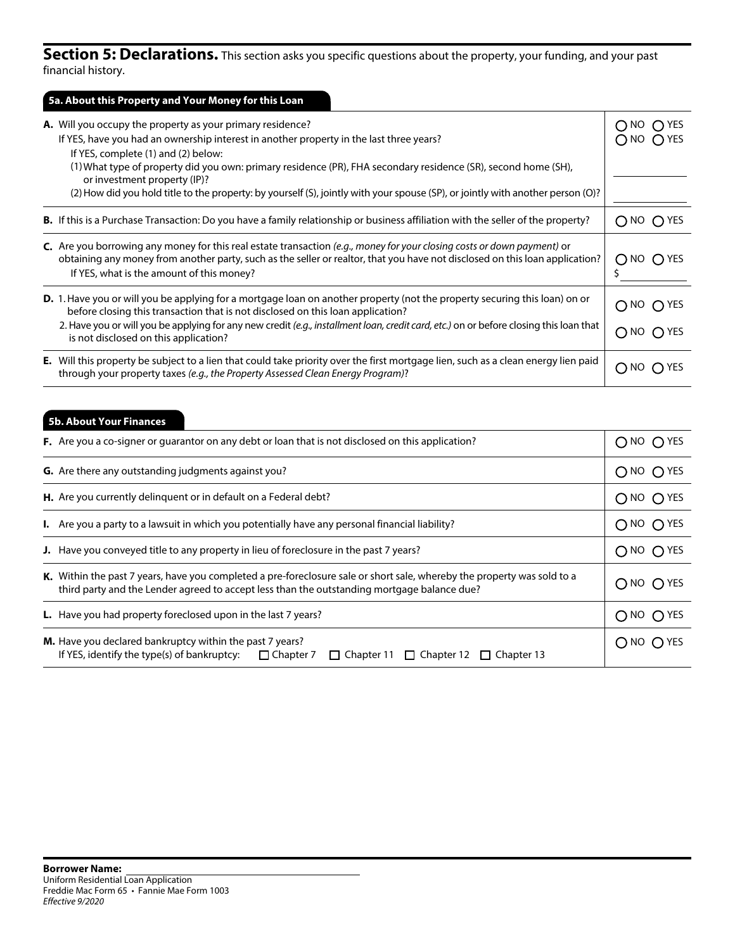### **Section 5: Declarations.** This section asks you specific questions about the property, your funding, and your past financial history.

| 5a. About this Property and Your Money for this Loan                                                                                                                                                                                                                                                 |                                   |
|------------------------------------------------------------------------------------------------------------------------------------------------------------------------------------------------------------------------------------------------------------------------------------------------------|-----------------------------------|
| A. Will you occupy the property as your primary residence?<br>If YES, have you had an ownership interest in another property in the last three years?<br>If YES, complete (1) and (2) below:                                                                                                         | $\bigcap$ NO $\bigcap$ YES<br>YES |
| (1) What type of property did you own: primary residence (PR), FHA secondary residence (SR), second home (SH),<br>or investment property (IP)?<br>(2) How did you hold title to the property: by yourself (S), jointly with your spouse (SP), or jointly with another person (O)?                    |                                   |
| B. If this is a Purchase Transaction: Do you have a family relationship or business affiliation with the seller of the property?                                                                                                                                                                     | <b>YES</b>                        |
| C. Are you borrowing any money for this real estate transaction (e.g., money for your closing costs or down payment) or<br>obtaining any money from another party, such as the seller or realtor, that you have not disclosed on this loan application?<br>If YES, what is the amount of this money? |                                   |
| <b>D.</b> 1. Have you or will you be applying for a mortgage loan on another property (not the property securing this loan) on or<br>before closing this transaction that is not disclosed on this loan application?                                                                                 | $O$ YES<br>NO I                   |
| 2. Have you or will you be applying for any new credit (e.g., installment loan, credit card, etc.) on or before closing this loan that<br>is not disclosed on this application?                                                                                                                      | $\bigcap$ NO $\bigcap$ YES        |
| <b>E.</b> Will this property be subject to a lien that could take priority over the first mortgage lien, such as a clean energy lien paid<br>through your property taxes (e.g., the Property Assessed Clean Energy Program)?                                                                         | YES                               |

#### **5b. About Your Finances**

| <b>F.</b> Are you a co-signer or guarantor on any debt or loan that is not disclosed on this application?                                                                                                              |                            |
|------------------------------------------------------------------------------------------------------------------------------------------------------------------------------------------------------------------------|----------------------------|
| G. Are there any outstanding judgments against you?                                                                                                                                                                    |                            |
| H. Are you currently delinguent or in default on a Federal debt?                                                                                                                                                       |                            |
| <b>I.</b> Are you a party to a lawsuit in which you potentially have any personal financial liability?                                                                                                                 |                            |
| <b>J.</b> Have you conveyed title to any property in lieu of foreclosure in the past 7 years?                                                                                                                          |                            |
| K. Within the past 7 years, have you completed a pre-foreclosure sale or short sale, whereby the property was sold to a<br>third party and the Lender agreed to accept less than the outstanding mortgage balance due? |                            |
| <b>L.</b> Have you had property foreclosed upon in the last 7 years?                                                                                                                                                   | $\bigcap NO$ $\bigcap YES$ |
| <b>M.</b> Have you declared bankruptcy within the past 7 years?<br>If YES, identify the type(s) of bankruptcy: $\Box$ Chapter 7<br>$\Box$ Chapter 12 $\Box$ Chapter 13<br>$\Box$ Chapter 11                            |                            |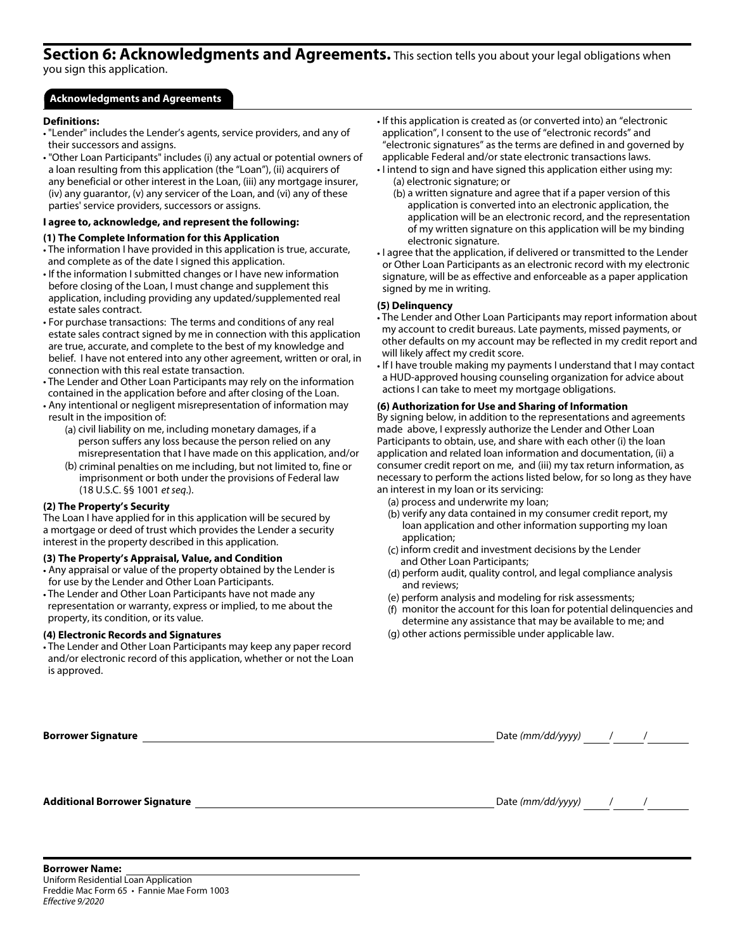## **Section 6: Acknowledgments and Agreements.** This section tells you about your legal obligations when

you sign this application.

#### **Acknowledgments and Agreements**

#### **Definitions:**

- "Lender" includes the Lender's agents, service providers, and any of their successors and assigns.
- "Other Loan Participants" includes (i) any actual or potential owners of a loan resulting from this application (the "Loan"), (ii) acquirers of any beneficial or other interest in the Loan, (iii) any mortgage insurer, (iv) any guarantor, (v) any servicer of the Loan, and (vi) any of these parties' service providers, successors or assigns.

#### **I agree to, acknowledge, and represent the following:**

#### **(1) The Complete Information for this Application**

- The information I have provided in this application is true, accurate, and complete as of the date I signed this application.
- If the information I submitted changes or I have new information before closing of the Loan, I must change and supplement this application, including providing any updated/supplemented real estate sales contract.
- For purchase transactions: The terms and conditions of any real estate sales contract signed by me in connection with this application are true, accurate, and complete to the best of my knowledge and belief. I have not entered into any other agreement, written or oral, in connection with this real estate transaction.
- The Lender and Other Loan Participants may rely on the information contained in the application before and after closing of the Loan.
- Any intentional or negligent misrepresentation of information may result in the imposition of:
	- (a) civil liability on me, including monetary damages, if a person suffers any loss because the person relied on any misrepresentation that I have made on this application, and/or
	- (b) criminal penalties on me including, but not limited to, fine or imprisonment or both under the provisions of Federal law (18 U.S.C. §§ 1001 *et seq*.).

#### **(2) The Property's Security**

The Loan I have applied for in this application will be secured by a mortgage or deed of trust which provides the Lender a security interest in the property described in this application.

#### **(3) The Property's Appraisal, Value, and Condition**

- Any appraisal or value of the property obtained by the Lender is for use by the Lender and Other Loan Participants.
- The Lender and Other Loan Participants have not made any representation or warranty, express or implied, to me about the property, its condition, or its value.

#### **(4) Electronic Records and Signatures**

• The Lender and Other Loan Participants may keep any paper record and/or electronic record of this application, whether or not the Loan is approved.

- If this application is created as (or converted into) an "electronic application", I consent to the use of "electronic records" and "electronic signatures" as the terms are defined in and governed by applicable Federal and/or state electronic transactions laws.
- I intend to sign and have signed this application either using my: (a) electronic signature; or
	- (b) a written signature and agree that if a paper version of this application is converted into an electronic application, the application will be an electronic record, and the representation of my written signature on this application will be my binding electronic signature.
- I agree that the application, if delivered or transmitted to the Lender or Other Loan Participants as an electronic record with my electronic signature, will be as effective and enforceable as a paper application signed by me in writing.

#### **(5) Delinquency**

- The Lender and Other Loan Participants may report information about my account to credit bureaus. Late payments, missed payments, or other defaults on my account may be reflected in my credit report and will likely affect my credit score.
- If I have trouble making my payments I understand that I may contact a HUD-approved housing counseling organization for advice about actions I can take to meet my mortgage obligations.

#### **(6) Authorization for Use and Sharing of Information**

By signing below, in addition to the representations and agreements made above, I expressly authorize the Lender and Other Loan Participants to obtain, use, and share with each other (i) the loan application and related loan information and documentation, (ii) a consumer credit report on me, and (iii) my tax return information, as necessary to perform the actions listed below, for so long as they have an interest in my loan or its servicing:

- (a) process and underwrite my loan;
- (b) verify any data contained in my consumer credit report, my loan application and other information supporting my loan application;
- (c) inform credit and investment decisions by the Lender and Other Loan Participants;
- (d) perform audit, quality control, and legal compliance analysis and reviews;
- (e) perform analysis and modeling for risk assessments;
- (f) monitor the account for this loan for potential delinquencies and determine any assistance that may be available to me; and
- (g) other actions permissible under applicable law.

| <b>Borrower Signature</b>            | Date (mm/dd/yyyy) |  |  |
|--------------------------------------|-------------------|--|--|
|                                      |                   |  |  |
|                                      |                   |  |  |
|                                      |                   |  |  |
| <b>Additional Borrower Signature</b> | Date (mm/dd/yyyy) |  |  |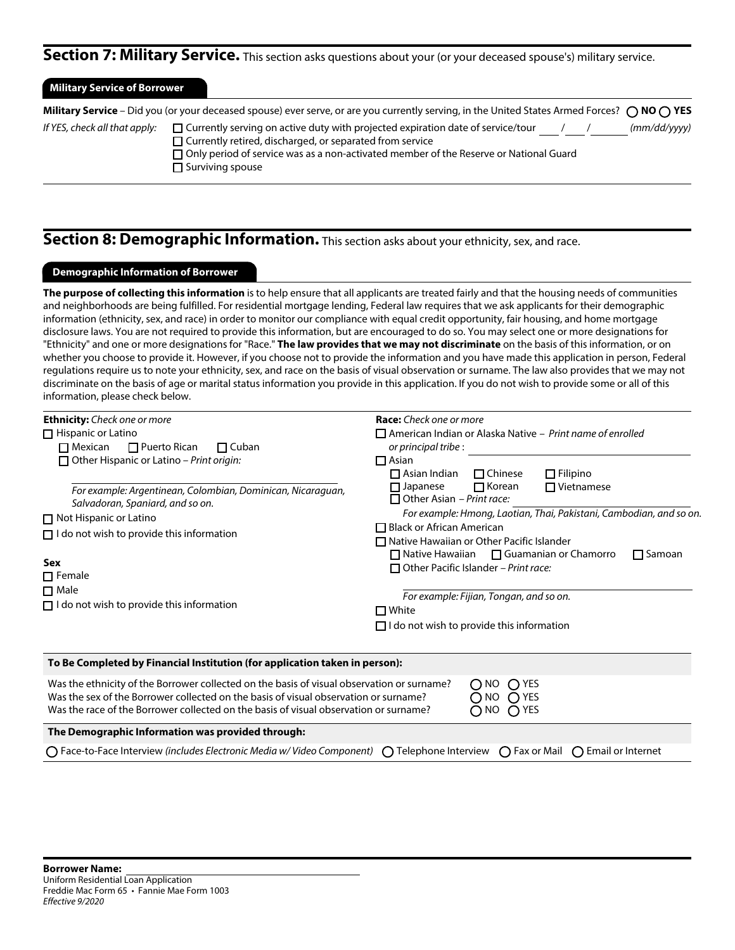### **Section 7: Military Service.** This section asks questions about your (or your deceased spouse's) military service.

| Military Service of Borrower  |                                                                                                                                                                                                                                                                                                      |
|-------------------------------|------------------------------------------------------------------------------------------------------------------------------------------------------------------------------------------------------------------------------------------------------------------------------------------------------|
|                               | <b>Military Service</b> – Did you (or your deceased spouse) ever serve, or are you currently serving, in the United States Armed Forces? $\bigcap$ <b>NO</b> $\bigcap$ <b>YES</b>                                                                                                                    |
| If YES, check all that apply: | $\Box$ Currently serving on active duty with projected expiration date of service/tour<br>(mm/dd/vvvv)<br>$\Box$ Currently retired, discharged, or separated from service<br>$\Box$ Only period of service was as a non-activated member of the Reserve or National Guard<br>$\Box$ Surviving spouse |

### **Section 8: Demographic Information.** This section asks about your ethnicity, sex, and race.

#### **Demographic Information of Borrower**

**The purpose of collecting this information** is to help ensure that all applicants are treated fairly and that the housing needs of communities and neighborhoods are being fulfilled. For residential mortgage lending, Federal law requires that we ask applicants for their demographic information (ethnicity, sex, and race) in order to monitor our compliance with equal credit opportunity, fair housing, and home mortgage disclosure laws. You are not required to provide this information, but are encouraged to do so. You may select one or more designations for "Ethnicity" and one or more designations for "Race." **The law provides that we may not discriminate** on the basis of this information, or on whether you choose to provide it. However, if you choose not to provide the information and you have made this application in person, Federal regulations require us to note your ethnicity, sex, and race on the basis of visual observation or surname. The law also provides that we may not discriminate on the basis of age or marital status information you provide in this application. If you do not wish to provide some or all of this information, please check below.

| Ethnicity: Check one or more                                                                                                                                                                                                                                                                                                                     | Race: Check one or more                                                                                             |  |  |
|--------------------------------------------------------------------------------------------------------------------------------------------------------------------------------------------------------------------------------------------------------------------------------------------------------------------------------------------------|---------------------------------------------------------------------------------------------------------------------|--|--|
| $\Box$ Hispanic or Latino<br>$\Box$ Mexican<br>$\Box$ Puerto Rican<br>$\Box$ Cuban<br>$\Box$ Other Hispanic or Latino - Print origin:<br>For example: Argentinean, Colombian, Dominican, Nicaraguan,<br>Salvadoran, Spaniard, and so on.<br>□ Not Hispanic or Latino<br>$\Box$ I do not wish to provide this information<br>Sex<br>$\Box$ Female | $\Box$ American Indian or Alaska Native – Print name of enrolled                                                    |  |  |
|                                                                                                                                                                                                                                                                                                                                                  | or principal tribe :                                                                                                |  |  |
|                                                                                                                                                                                                                                                                                                                                                  | $\Box$ Asian                                                                                                        |  |  |
|                                                                                                                                                                                                                                                                                                                                                  | $\Box$ Chinese<br>$\Box$ Asian Indian<br>$\Box$ Filipino                                                            |  |  |
|                                                                                                                                                                                                                                                                                                                                                  | $\Box$ Korean<br>$\Box$ Vietnamese<br>$\square$ Japanese<br>$\Box$ Other Asian – Print race:                        |  |  |
|                                                                                                                                                                                                                                                                                                                                                  | For example: Hmong, Laotian, Thai, Pakistani, Cambodian, and so on.                                                 |  |  |
|                                                                                                                                                                                                                                                                                                                                                  | $\Box$ Black or African American                                                                                    |  |  |
|                                                                                                                                                                                                                                                                                                                                                  | $\Box$ Native Hawaiian or Other Pacific Islander                                                                    |  |  |
|                                                                                                                                                                                                                                                                                                                                                  | $\Box$ Native Hawaiian $\Box$ Guamanian or Chamorro<br>$\Box$ Samoan<br>$\Box$ Other Pacific Islander – Print race: |  |  |
| $\Box$ Male                                                                                                                                                                                                                                                                                                                                      | For example: Fijian, Tongan, and so on.                                                                             |  |  |
| $\Box$ I do not wish to provide this information                                                                                                                                                                                                                                                                                                 | $\Box$ White                                                                                                        |  |  |
|                                                                                                                                                                                                                                                                                                                                                  | $\Box$ I do not wish to provide this information                                                                    |  |  |
| To Be Completed by Financial Institution (for application taken in person):                                                                                                                                                                                                                                                                      |                                                                                                                     |  |  |
| Was the ethnicity of the Borrower collected on the basis of visual observation or surname?<br>Was the sex of the Borrower collected on the basis of visual observation or surname?                                                                                                                                                               | $\bigcap$ NO<br>YES<br>$\bigcap$<br>∩NO<br>∩ YES                                                                    |  |  |

| The Demographic Information was provided through: $\blacksquare$                                                               |  |  |
|--------------------------------------------------------------------------------------------------------------------------------|--|--|
| ○ Face-to-Face Interview (includes Electronic Media w/Video Component) ○ Telephone Interview ○ Fax or Mail ○ Email or Internet |  |  |

Was the race of the Borrower collected on the basis of visual observation or surname?  $\bigcirc$  NO  $\bigcirc$  YES